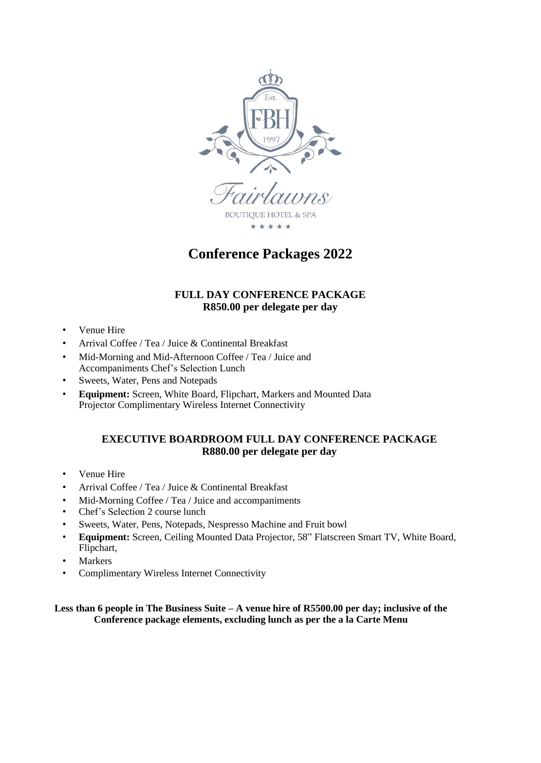

**Conference Packages 2022**

# **FULL DAY CONFERENCE PACKAGE R850.00 per delegate per day**

- Venue Hire
- Arrival Coffee / Tea / Juice & Continental Breakfast
- Mid-Morning and Mid-Afternoon Coffee / Tea / Juice and Accompaniments Chef's Selection Lunch
- Sweets, Water, Pens and Notepads
- **Equipment:** Screen, White Board, Flipchart, Markers and Mounted Data Projector Complimentary Wireless Internet Connectivity

### **EXECUTIVE BOARDROOM FULL DAY CONFERENCE PACKAGE R880.00 per delegate per day**

- Venue Hire
- Arrival Coffee / Tea / Juice & Continental Breakfast
- Mid-Morning Coffee / Tea / Juice and accompaniments
- Chef's Selection 2 course lunch
- Sweets, Water, Pens, Notepads, Nespresso Machine and Fruit bowl
- **Equipment:** Screen, Ceiling Mounted Data Projector, 58" Flatscreen Smart TV, White Board, Flipchart,
- **Markers**
- Complimentary Wireless Internet Connectivity

#### **Less than 6 people in The Business Suite – A venue hire of R5500.00 per day; inclusive of the Conference package elements, excluding lunch as per the a la Carte Menu**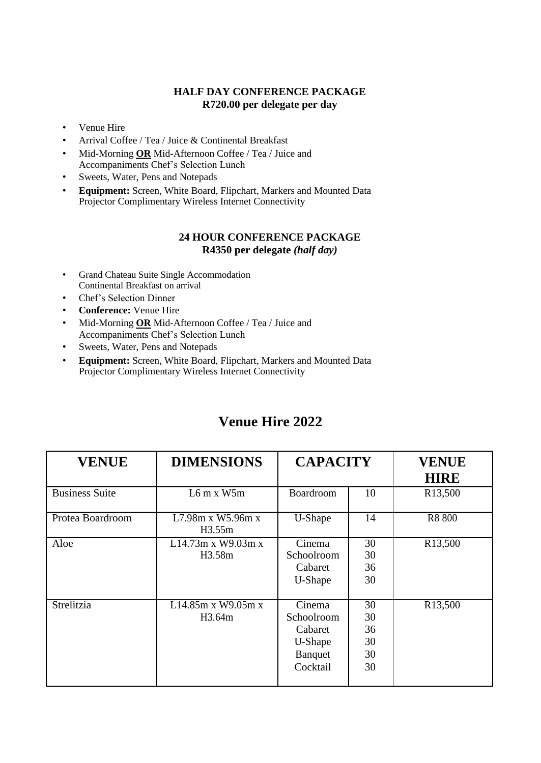## **HALF DAY CONFERENCE PACKAGE R720.00 per delegate per day**

- Venue Hire
- Arrival Coffee / Tea / Juice & Continental Breakfast
- Mid-Morning **OR** Mid-Afternoon Coffee / Tea / Juice and Accompaniments Chef's Selection Lunch
- Sweets, Water, Pens and Notepads
- **Equipment:** Screen, White Board, Flipchart, Markers and Mounted Data Projector Complimentary Wireless Internet Connectivity

#### **24 HOUR CONFERENCE PACKAGE R4350 per delegate** *(half day)*

- Grand Chateau Suite Single Accommodation Continental Breakfast on arrival
- Chef's Selection Dinner
- **Conference:** Venue Hire
- Mid-Morning **OR** Mid-Afternoon Coffee / Tea / Juice and Accompaniments Chef's Selection Lunch
- Sweets, Water, Pens and Notepads
- **Equipment:** Screen, White Board, Flipchart, Markers and Mounted Data Projector Complimentary Wireless Internet Connectivity

| <b>VENUE</b>          | <b>DIMENSIONS</b>            | <b>CAPACITY</b>                                                           |                                  | <b>VENUE</b><br><b>HIRE</b> |
|-----------------------|------------------------------|---------------------------------------------------------------------------|----------------------------------|-----------------------------|
| <b>Business Suite</b> | $L6$ m x W5m                 | Boardroom                                                                 | 10                               | R <sub>13</sub> ,500        |
| Protea Boardroom      | L7.98m x W5.96m x<br>H3.55m  | U-Shape                                                                   | 14                               | R8 800                      |
| Aloe                  | L14.73m x W9.03m x<br>H3.58m | Cinema<br>Schoolroom<br>Cabaret<br>U-Shape                                | 30<br>30<br>36<br>30             | R <sub>13</sub> ,500        |
| Strelitzia            | L14.85m x W9.05m x<br>H3.64m | Cinema<br>Schoolroom<br>Cabaret<br>U-Shape<br><b>B</b> anquet<br>Cocktail | 30<br>30<br>36<br>30<br>30<br>30 | R13,500                     |

# **Venue Hire 2022**